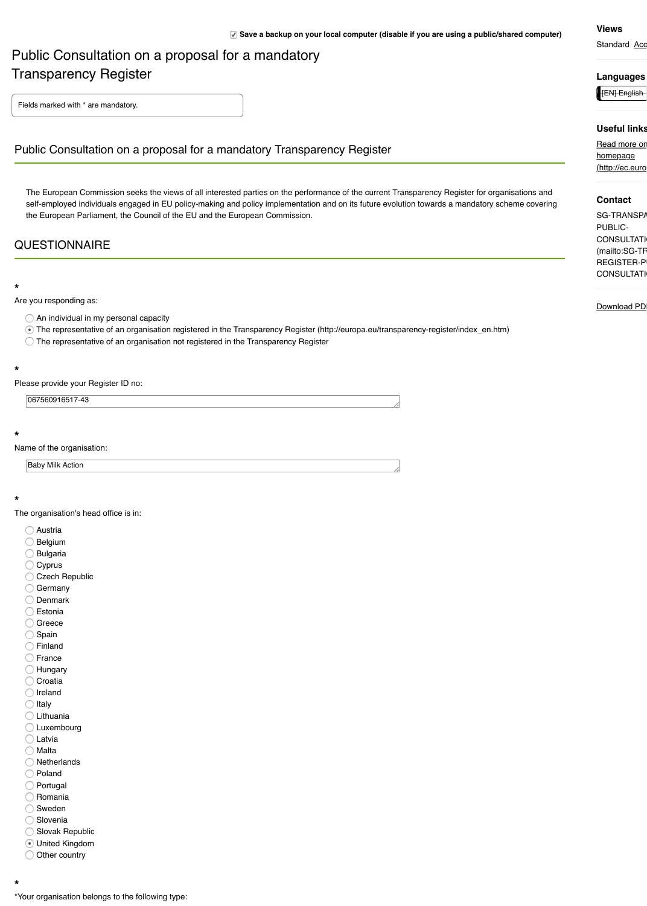Name of the organisation:

Baby Milk Action

#### **\***

The organisation's head office is in:

- Austria
- Belgium
- Bulgaria
- C Cyprus
- Czech Republic
- **Germany**
- O Denmark
- **C** Estonia
- **Greece**
- Spain
- Finland
- ◯ France
- **Hungary**
- Croatia
- Ireland
- $\bigcirc$  Italy
- Lithuania
- **C** Luxembourg
- **D** Latvia
- ◯ Malta
- O Netherlands
- O Poland
- Portugal
- $\supset$  Romania
- Sweden
- **Slovenia**
- Slovak Republic
- United Kingdom
- O Other country

\*Your organisation belongs to the following type: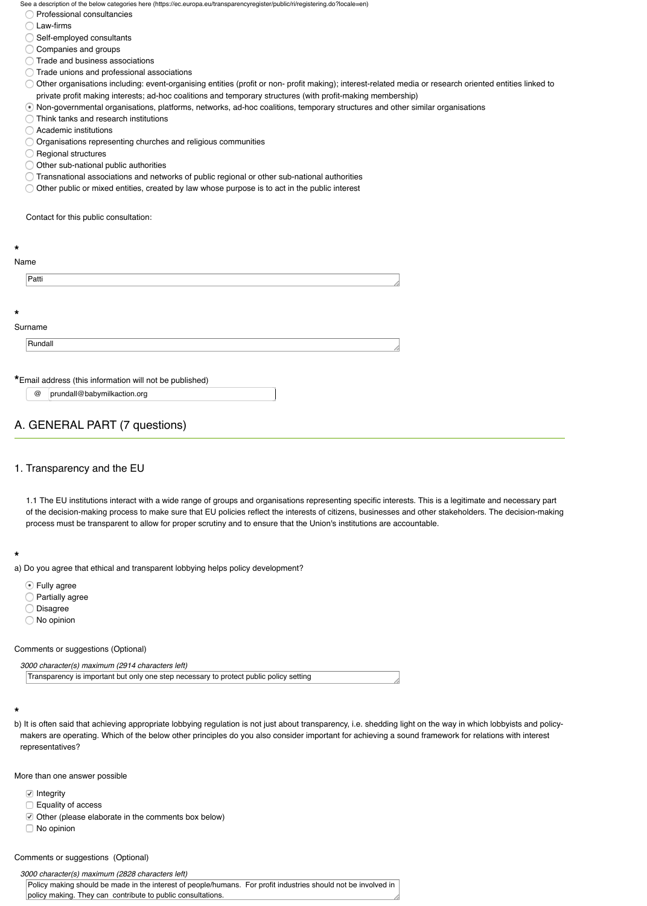# 1. Transparency and the EU

1.1 The EU institutions interact with a wide range of groups and organisations representing of the decision-making process to make sure that EU policies reflect the interests of citizens process must be transparent to allow for proper scrutiny and to ensure that the Union's institution

#### **\***

a) Do you agree that ethical and transparent lobbying helps policy development?

- **T** Fully agree
- **Partially agree**
- Disagree
- No opinion

Comments or suggestions (Optional)

```
3000 character(s) maximum (2914 characters left)
```
Transparency is important but only one step necessary to protect public policy setting

#### **\***

b) It is often said that achieving appropriate lobbying regulation is not just about transparency, i. makers are operating. Which of the below other principles do you also consider important for representatives?

More than one answer possible

- **■** Integrity
- $\Box$  Equality of access
- $\Box$  Other (please elaborate in the comments box below)
- □ No opinion

#### Comments or suggestions (Optional)

#### *3000 character(s) maximum (2828 characters left)*

Policy making should be made in the interest of people/humans. For profit industries should not be policy making. They can contribute to public consultations.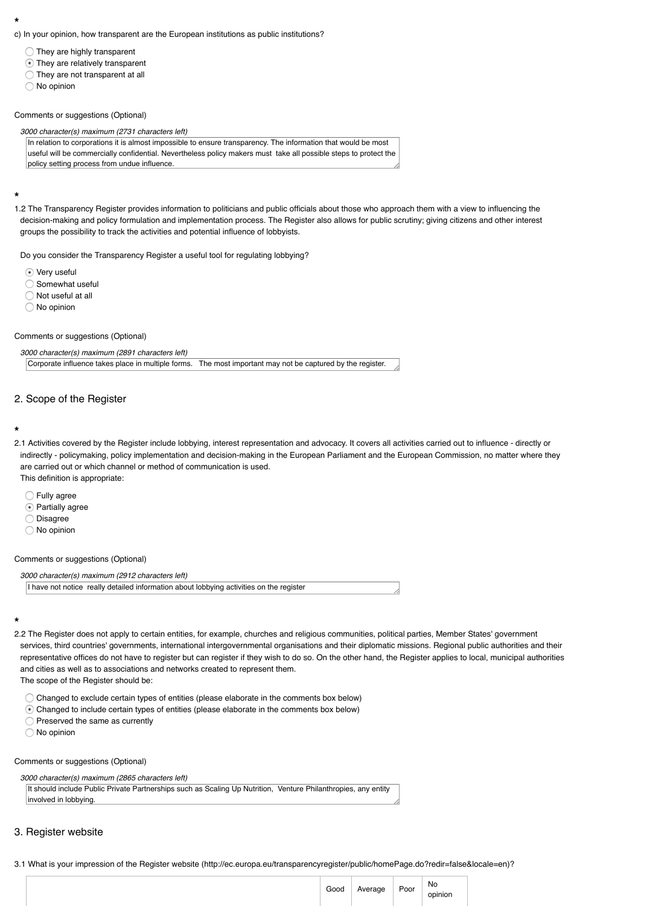2.1 Activities covered by the Register include lobbying, interest representation and advocacy. It covers all activities carried out to influence - directly or indirectly - policymaking, policy implementation and decision-making in the European Parliam are carried out or which channel or method of communication is used. This definition is appropriate:

- **C** Fully agree
- **Partially agree**
- O Disagree
- No opinion

## Comments or suggestions (Optional)

#### *3000 character(s) maximum (2912 characters left)*

I have not notice really detailed information about lobbying activities on the register

## **\***

- 2.2 The Register does not apply to certain entities, for example, churches and religious commu services, third countries' governments, international intergovernmental organisations and their representative offices do not have to register but can register if they wish to do so. On the other and cities as well as to associations and networks created to represent them. The scope of the Register should be:
	- $\bigcirc$  Changed to exclude certain types of entities (please elaborate in the comments box below
	- Changed to include certain types of entities (please elaborate in the comments box belov
	- $\bigcirc$  Preserved the same as currently
	- O No opinion

## Comments or suggestions (Optional)

*3000 character(s) maximum (2865 characters left)*

It should include Public Private Partnerships such as Scaling Up Nutrition, Venture Philanthropies involved in lobbying.

# 3. Register website

3.1 What is your impression of the Register website (http://ec.europa.eu/transparencyregister/p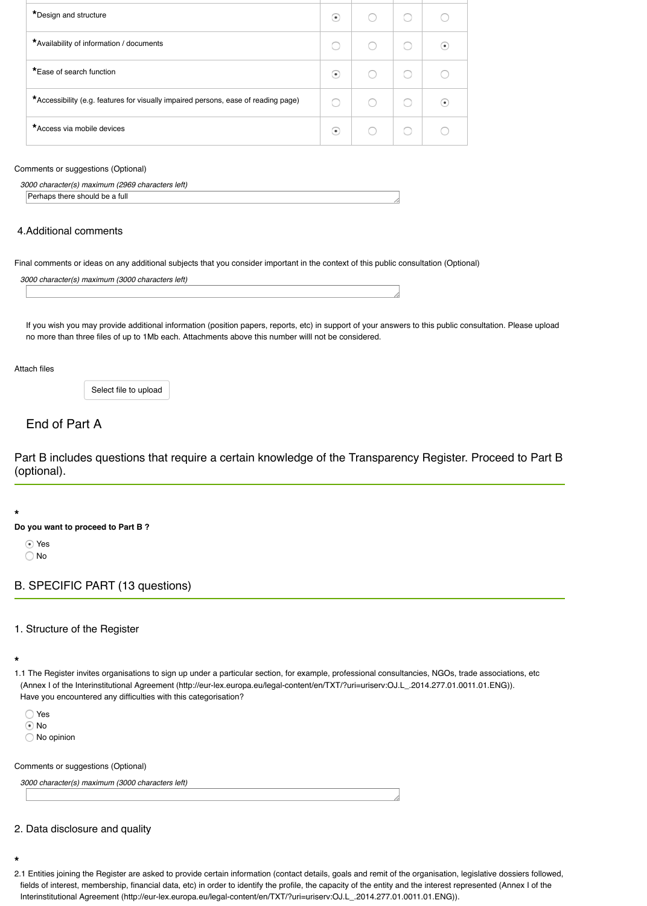Part B includes questions that require a certain knowledge of the T (optional).

#### **\***

### **Do you want to proceed to Part B ?**

- Yes
- No

# B. SPECIFIC PART (13 questions)

## 1. Structure of the Register

#### **\***

- 1.1 The Register invites organisations to sign up under a particular section, for example, profes (Annex I of the Interinstitutional Agreement (http://eur-lex.europa.eu/legal-content/en/TXT/?ur Have you encountered any difficulties with this categorisation?
	- Yes
	- ⊙ No
	- O No opinion

#### Comments or suggestions (Optional)

*3000 character(s) maximum (3000 characters left)*

## 2. Data disclosure and quality

#### **\***

2.1 Entities joining the Register are asked to provide certain information (contact details, goals fields of interest, membership, financial data, etc) in order to identify the profile, the capacity of Interinstitutional Agreement (http://eur-lex.europa.eu/legal-content/en/TXT/?uri=uriserv:OJ.L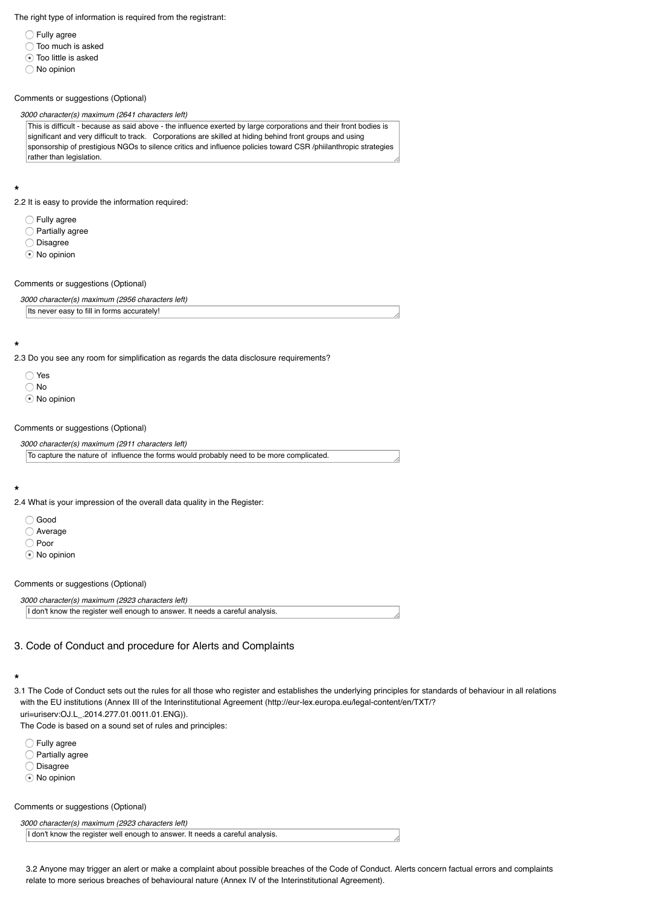*3000 character(s) maximum (2911 characters left)*

To capture the nature of influence the forms would probably need to be more complicated.

#### **\***

- 2.4 What is your impression of the overall data quality in the Register:
	- Good
	- Average
	- Poor
	- **■** No opinion

Comments or suggestions (Optional)

*3000 character(s) maximum (2923 characters left)*

I don't know the register well enough to answer. It needs a careful analysis.

# 3. Code of Conduct and procedure for Alerts and Complaints

#### **\***

3.1 The Code of Conduct sets out the rules for all those who register and establishes the under with the EU institutions (Annex III of the Interinstitutional Agreement (http://eur-lex.europa.eu/ uri=uriserv:OJ.L\_.2014.277.01.0011.01.ENG)).

The Code is based on a sound set of rules and principles:

- **C** Fully agree
- Partially agree
- O Disagree
- $\odot$  No opinion

Comments or suggestions (Optional)

*3000 character(s) maximum (2923 characters left)*

I don't know the register well enough to answer. It needs a careful analysis.

3.2 Anyone may trigger an alert or make a complaint about possible breaches of the Code of relate to more serious breaches of behavioural nature (Annex IV of the Interinstitutional Agreement).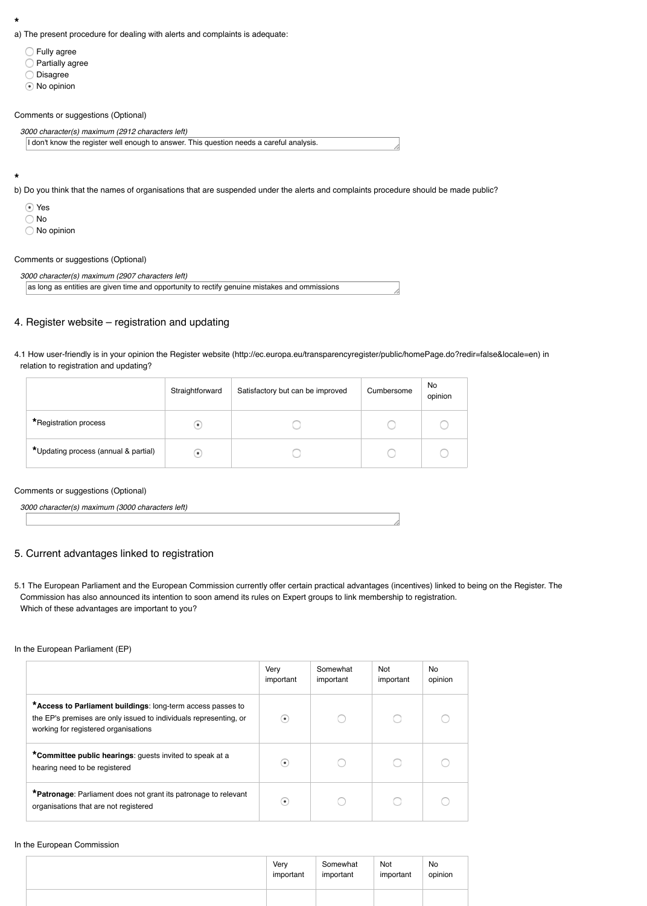| *Updating process (annual & partial)             |  |
|--------------------------------------------------|--|
|                                                  |  |
| Comments or suggestions (Optional)               |  |
| 3000 character(s) maximum (3000 characters left) |  |

## 5. Current advantages linked to registration

5.1 The European Parliament and the European Commission currently offer certain practical ad Commission has also announced its intention to soon amend its rules on Expert groups to link Which of these advantages are important to you?

### In the European Parliament (EP)

|                                                                                                                                                                          | Very<br>important | Somewhat<br>important |
|--------------------------------------------------------------------------------------------------------------------------------------------------------------------------|-------------------|-----------------------|
| *Access to Parliament buildings: long-term access passes to<br>the EP's premises are only issued to individuals representing, or<br>working for registered organisations | ٠                 |                       |
| *Committee public hearings: guests invited to speak at a<br>hearing need to be registered                                                                                | ٠                 |                       |
| *Patronage: Parliament does not grant its patronage to relevant<br>organisations that are not registered                                                                 | ٠                 |                       |

#### In the European Commission

|  | Very<br>important | Somewha<br>important |
|--|-------------------|----------------------|
|  |                   |                      |